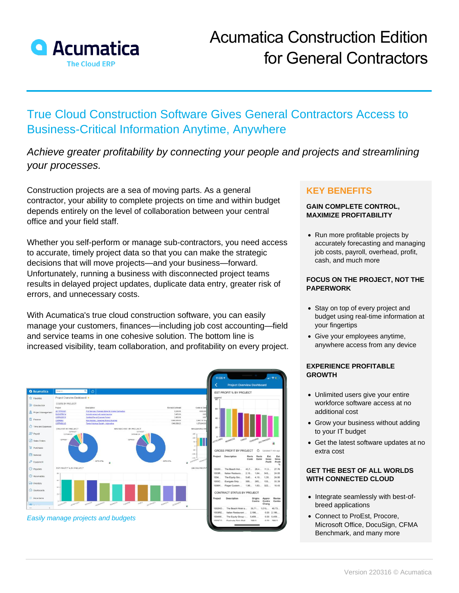

# True Cloud Construction Software Gives General Contractors Access to Business-Critical Information Anytime, Anywhere

## *Achieve greater profitability by connecting your people and projects and streamlining your processes.*

Construction projects are a sea of moving parts. As a general contractor, your ability to complete projects on time and within budget depends entirely on the level of collaboration between your central office and your field staff.

Whether you self-perform or manage sub-contractors, you need access to accurate, timely project data so that you can make the strategic decisions that will move projects—and your business—forward. Unfortunately, running a business with disconnected project teams results in delayed project updates, duplicate data entry, greater risk of errors, and unnecessary costs.

With Acumatica's true cloud construction software, you can easily manage your customers, finances—including job cost accounting—field and service teams in one cohesive solution. The bottom line is increased visibility, team collaboration, and profitability on every project.



### **KEY BENEFITS**

#### **GAIN COMPLETE CONTROL, MAXIMIZE PROFITABILITY**

• Run more profitable projects by accurately forecasting and managing job costs, payroll, overhead, profit, cash, and much more

#### **FOCUS ON THE PROJECT, NOT THE PAPERWORK**

- Stay on top of every project and budget using real-time information at your fingertips
- Give your employees anytime, anywhere access from any device

#### **EXPERIENCE PROFITABLE GROWTH**

- Unlimited users give your entire workforce software access at no additional cost
- Grow your business without adding to your IT budget
- Get the latest software updates at no extra cost

#### **GET THE BEST OF ALL WORLDS WITH CONNECTED CLOUD**

- Integrate seamlessly with best-ofbreed applications
- Connect to ProEst, Procore, Microsoft Office, DocuSign, CFMA Benchmark, and many more